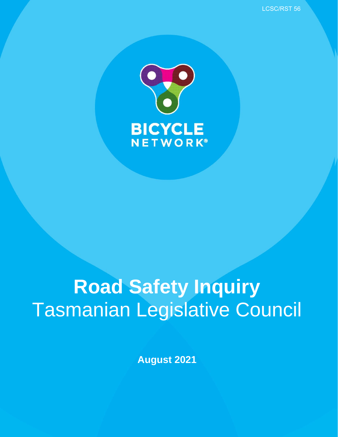LCSC/RST 56



# **Road Safety Inquiry** Tasmanian Legislative Council

**August 2021**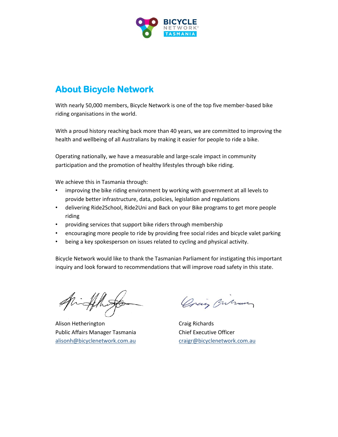

# **About Bicycle Network**

With nearly 50,000 members, Bicycle Network is one of the top five member-based bike riding organisations in the world.

With a proud history reaching back more than 40 years, we are committed to improving the health and wellbeing of all Australians by making it easier for people to ride a bike.

Operating nationally, we have a measurable and large-scale impact in community participation and the promotion of healthy lifestyles through bike riding.

We achieve this in Tasmania through:

- improving the bike riding environment by working with government at all levels to provide better infrastructure, data, policies, legislation and regulations
- delivering Ride2School, Ride2Uni and Back on your Bike programs to get more people riding
- providing services that support bike riders through membership
- encouraging more people to ride by providing free social rides and bicycle valet parking
- being a key spokesperson on issues related to cycling and physical activity.

Bicycle Network would like to thank the Tasmanian Parliament for instigating this important inquiry and look forward to recommendations that will improve road safety in this state.

Alison Hetherington **Craig Richards** Craig Richards Public Affairs Manager Tasmania Chief Executive Officer [alisonh@bicyclenetwork.com.au](mailto:alisonh@bicyclenetwork.com.au) [craigr@bicyclenetwork.com.au](mailto:craigr@bicyclenetwork.com.au)

Oring Currung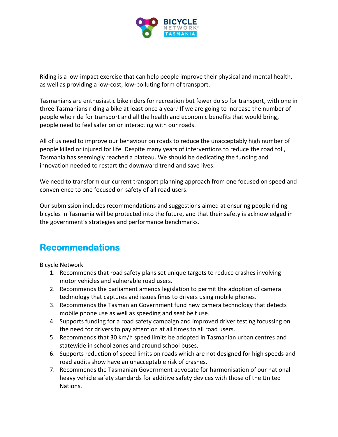

Riding is a low-impact exercise that can help people improve their physical and mental health, as well as providing a low-cost, low-polluting form of transport.

Tasmanians are enthusiastic bike riders for recreation but fewer do so for transport, with one in three Tasmanians riding a bike at least once a year.<sup>i</sup> If we are going to increase the number of people who ride for transport and all the health and economic benefits that would bring, people need to feel safer on or interacting with our roads.

All of us need to improve our behaviour on roads to reduce the unacceptably high number of people killed or injured for life. Despite many years of interventions to reduce the road toll, Tasmania has seemingly reached a plateau. We should be dedicating the funding and innovation needed to restart the downward trend and save lives.

We need to transform our current transport planning approach from one focused on speed and convenience to one focused on safety of all road users.

Our submission includes recommendations and suggestions aimed at ensuring people riding bicycles in Tasmania will be protected into the future, and that their safety is acknowledged in the government's strategies and performance benchmarks.

## **Recommendations**

Bicycle Network

- 1. Recommends that road safety plans set unique targets to reduce crashes involving motor vehicles and vulnerable road users.
- 2. Recommends the parliament amends legislation to permit the adoption of camera technology that captures and issues fines to drivers using mobile phones.
- 3. Recommends the Tasmanian Government fund new camera technology that detects mobile phone use as well as speeding and seat belt use.
- 4. Supports funding for a road safety campaign and improved driver testing focussing on the need for drivers to pay attention at all times to all road users.
- 5. Recommends that 30 km/h speed limits be adopted in Tasmanian urban centres and statewide in school zones and around school buses.
- 6. Supports reduction of speed limits on roads which are not designed for high speeds and road audits show have an unacceptable risk of crashes.
- 7. Recommends the Tasmanian Government advocate for harmonisation of our national heavy vehicle safety standards for additive safety devices with those of the United Nations.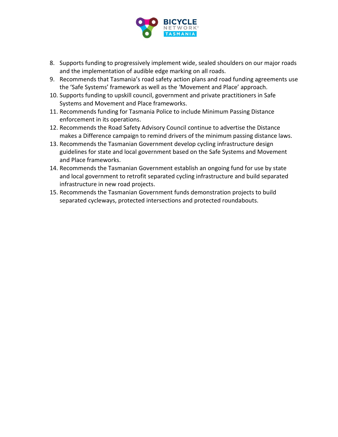

- 8. Supports funding to progressively implement wide, sealed shoulders on our major roads and the implementation of audible edge marking on all roads.
- 9. Recommends that Tasmania's road safety action plans and road funding agreements use the 'Safe Systems' framework as well as the 'Movement and Place' approach.
- 10. Supports funding to upskill council, government and private practitioners in Safe Systems and Movement and Place frameworks.
- 11. Recommends funding for Tasmania Police to include Minimum Passing Distance enforcement in its operations.
- 12. Recommends the Road Safety Advisory Council continue to advertise the Distance makes a Difference campaign to remind drivers of the minimum passing distance laws.
- 13. Recommends the Tasmanian Government develop cycling infrastructure design guidelines for state and local government based on the Safe Systems and Movement and Place frameworks.
- 14. Recommends the Tasmanian Government establish an ongoing fund for use by state and local government to retrofit separated cycling infrastructure and build separated infrastructure in new road projects.
- 15. Recommends the Tasmanian Government funds demonstration projects to build separated cycleways, protected intersections and protected roundabouts.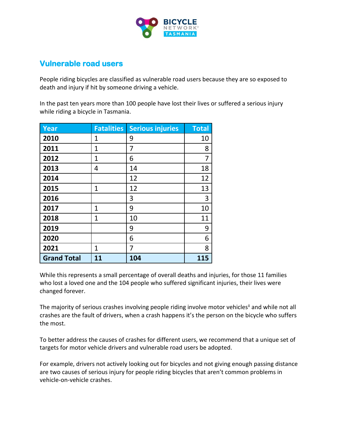

#### **Vulnerable road users**

People riding bicycles are classified as vulnerable road users because they are so exposed to death and injury if hit by someone driving a vehicle.

In the past ten years more than 100 people have lost their lives or suffered a serious injury while riding a bicycle in Tasmania.

| Year               | <b>Fatalities</b> | <b>Serious injuries</b> | <b>Total</b> |
|--------------------|-------------------|-------------------------|--------------|
| 2010               | 1                 | 9                       | 10           |
| 2011               | 1                 | 7                       | 8            |
| 2012               | 1                 | 6                       | 7            |
| 2013               | 4                 | 14                      | 18           |
| 2014               |                   | 12                      | 12           |
| 2015               | 1                 | 12                      | 13           |
| 2016               |                   | 3                       | 3            |
| 2017               | 1                 | 9                       | 10           |
| 2018               | 1                 | 10                      | 11           |
| 2019               |                   | 9                       | 9            |
| 2020               |                   | 6                       | 6            |
| 2021               | 1                 | 7                       | 8            |
| <b>Grand Total</b> | 11                | 104                     | 115          |

While this represents a small percentage of overall deaths and injuries, for those 11 families who lost a loved one and the 104 people who suffered significant injuries, their lives were changed forever.

The majority of serious crashes involving people riding involve motor vehiclesil and while not all crashes are the fault of drivers, when a crash happens it's the person on the bicycle who suffers the most.

To better address the causes of crashes for different users, we recommend that a unique set of targets for motor vehicle drivers and vulnerable road users be adopted.

For example, drivers not actively looking out for bicycles and not giving enough passing distance are two causes of serious injury for people riding bicycles that aren't common problems in vehicle-on-vehicle crashes.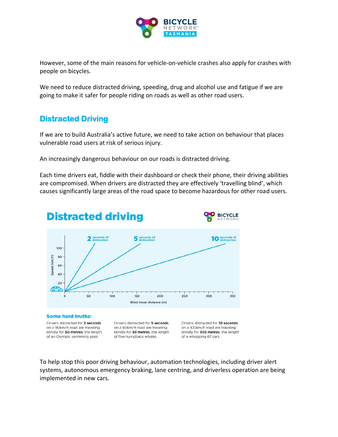

However, some of the main reasons for vehicle-on-vehicle crashes also apply for crashes with people on bicycles.

We need to reduce distracted driving, speeding, drug and alcohol use and fatigue if we are going to make it safer for people riding on roads as well as other road users.

#### **Distracted Driving**

If we are to build Australia's active future, we need to take action on behaviour that places vulnerable road users at risk of serious injury.

An increasingly dangerous behaviour on our roads is distracted driving.

Each time drivers eat, fiddle with their dashboard or check their phone, their driving abilities are compromised. When drivers are distracted they are effectively 'travelling blind', which causes significantly large areas of the road space to become hazardous for other road users.



To help stop this poor driving behaviour, automation technologies, including driver alert systems, autonomous emergency braking, lane centring, and driverless operation are being implemented in new cars.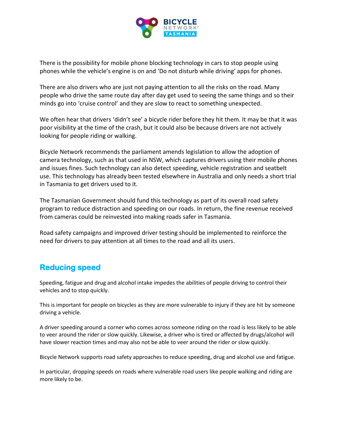

There is the possibility for mobile phone blocking technology in cars to stop people using phones while the vehicle's engine is on and 'Do not disturb while driving' apps for phones.

There are also drivers who are just not paying attention to all the risks on the road. Many people who drive the same route day after day get used to seeing the same things and so their minds go into 'cruise control' and they are slow to react to something unexpected.

We often hear that drivers 'didn't see' a bicycle rider before they hit them. It may be that it was poor visibility at the time of the crash, but it could also be because drivers are not actively looking for people riding or walking.

Bicycle Network recommends the parliament amends legislation to allow the adoption of camera technology, such as that used in NSW, which captures drivers using their mobile phones and issues fines. Such technology can also detect speeding, vehicle registration and seatbelt use. This technology has already been tested elsewhere in Australia and only needs a short trial in Tasmania to get drivers used to it.

The Tasmanian Government should fund this technology as part of its overall road safety program to reduce distraction and speeding on our roads. In return, the fine revenue received from cameras could be reinvested into making roads safer in Tasmania.

Road safety campaigns and improved driver testing should be implemented to reinforce the need for drivers to pay attention at all times to the road and all its users.

#### **Reducing speed**

Speeding, fatigue and drug and alcohol intake impedes the abilities of people driving to control their vehicles and to stop quickly.

This is important for people on bicycles as they are more vulnerable to injury if they are hit by someone driving a vehicle.

A driver speeding around a corner who comes across someone riding on the road is less likely to be able to veer around the rider or slow quickly. Likewise, a driver who is tired or affected by drugs/alcohol will have slower reaction times and may also not be able to veer around the rider or slow quickly.

Bicycle Network supports road safety approaches to reduce speeding, drug and alcohol use and fatigue.

In particular, dropping speeds on roads where vulnerable road users like people walking and riding are more likely to be.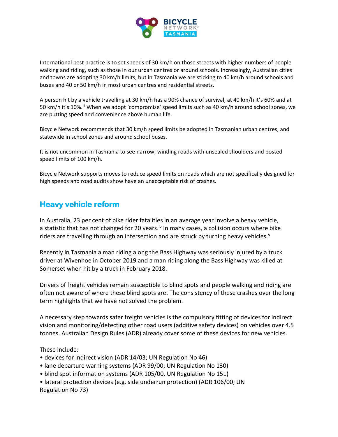

International best practice is to set speeds of 30 km/h on those streets with higher numbers of people walking and riding, such as those in our urban centres or around schools. Increasingly, Australian cities and towns are adopting 30 km/h limits, but in Tasmania we are sticking to 40 km/h around schools and buses and 40 or 50 km/h in most urban centres and residential streets.

A person hit by a vehicle travelling at 30 km/h has a 90% chance of survival, at 40 km/h it's 60% and at 50 km/h it's 10%.<sup>ii</sup> When we adopt 'compromise' speed limits such as 40 km/h around school zones, we are putting speed and convenience above human life.

Bicycle Network recommends that 30 km/h speed limits be adopted in Tasmanian urban centres, and statewide in school zones and around school buses.

It is not uncommon in Tasmania to see narrow, winding roads with unsealed shoulders and posted speed limits of 100 km/h.

Bicycle Network supports moves to reduce speed limits on roads which are not specifically designed for high speeds and road audits show have an unacceptable risk of crashes.

#### **Heavy vehicle reform**

In Australia, 23 per cent of bike rider fatalities in an average year involve a heavy vehicle, a statistic that has not changed for 20 years.<sup>iv</sup> In many cases, a collision occurs where bike riders are travelling through an intersection and are struck by turning heavy vehicles.<sup>v</sup>

Recently in Tasmania a man riding along the Bass Highway was seriously injured by a truck driver at Wivenhoe in October 2019 and a man riding along the Bass Highway was killed at Somerset when hit by a truck in February 2018.

Drivers of freight vehicles remain susceptible to blind spots and people walking and riding are often not aware of where these blind spots are. The consistency of these crashes over the long term highlights that we have not solved the problem.

A necessary step towards safer freight vehicles is the compulsory fitting of devices for indirect vision and monitoring/detecting other road users (additive safety devices) on vehicles over 4.5 tonnes. Australian Design Rules (ADR) already cover some of these devices for new vehicles.

These include:

- devices for indirect vision (ADR 14/03; UN Regulation No 46)
- lane departure warning systems (ADR 99/00; UN Regulation No 130)
- blind spot information systems (ADR 105/00, UN Regulation No 151)
- lateral protection devices (e.g. side underrun protection) (ADR 106/00; UN Regulation No 73)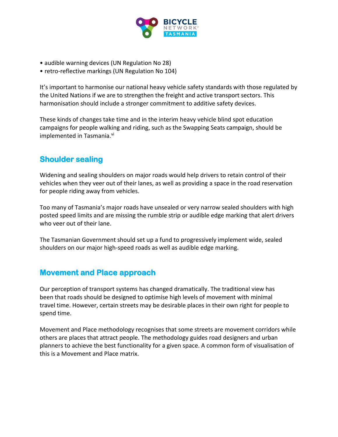

- audible warning devices (UN Regulation No 28)
- retro-reflective markings (UN Regulation No 104)

It's important to harmonise our national heavy vehicle safety standards with those regulated by the United Nations if we are to strengthen the freight and active transport sectors. This harmonisation should include a stronger commitment to additive safety devices.

These kinds of changes take time and in the interim heavy vehicle blind spot education campaigns for people walking and riding, such as the Swapping Seats campaign, should be implemented in Tasmania.<sup>vi</sup>

#### **Shoulder sealing**

Widening and sealing shoulders on major roads would help drivers to retain control of their vehicles when they veer out of their lanes, as well as providing a space in the road reservation for people riding away from vehicles.

Too many of Tasmania's major roads have unsealed or very narrow sealed shoulders with high posted speed limits and are missing the rumble strip or audible edge marking that alert drivers who veer out of their lane.

The Tasmanian Government should set up a fund to progressively implement wide, sealed shoulders on our major high-speed roads as well as audible edge marking.

#### **Movement and Place approach**

Our perception of transport systems has changed dramatically. The traditional view has been that roads should be designed to optimise high levels of movement with minimal travel time. However, certain streets may be desirable places in their own right for people to spend time.

Movement and Place methodology recognises that some streets are movement corridors while others are places that attract people. The methodology guides road designers and urban planners to achieve the best functionality for a given space. A common form of visualisation of this is a Movement and Place matrix.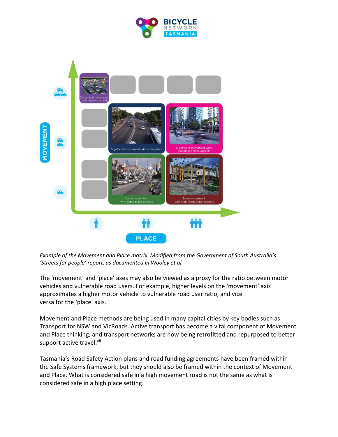



*Example of the Movement and Place matrix. Modified from the Government of South Australia's 'Streets for people' report, as documented in Wooley et al.*

The 'movement' and 'place' axes may also be viewed as a proxy for the ratio between motor vehicles and vulnerable road users. For example, higher levels on the 'movement' axis approximates a higher motor vehicle to vulnerable road user ratio, and vice versa for the 'place' axis.

Movement and Place methods are being used in many capital cities by key bodies such as Transport for NSW and VicRoads. Active transport has become a vital component of Movement and Place thinking, and transport networks are now being retrofitted and repurposed to better support active travel.<sup>vii</sup>

Tasmania's Road Safety Action plans and road funding agreements have been framed within the Safe Systems framework, but they should also be framed within the context of Movement and Place. What is considered safe in a high movement road is not the same as what is considered safe in a high place setting.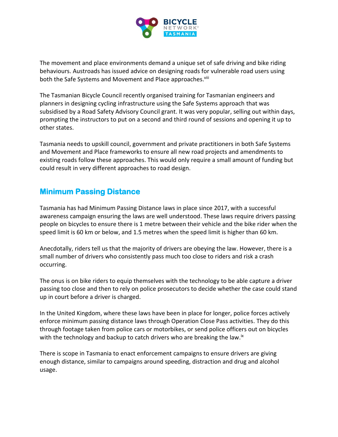

The movement and place environments demand a unique set of safe driving and bike riding behaviours. Austroads has issued advice on designing roads for vulnerable road users using both the Safe Systems and Movement and Place approaches.<sup>viii</sup>

The Tasmanian Bicycle Council recently organised training for Tasmanian engineers and planners in designing cycling infrastructure using the Safe Systems approach that was subsidised by a Road Safety Advisory Council grant. It was very popular, selling out within days, prompting the instructors to put on a second and third round of sessions and opening it up to other states.

Tasmania needs to upskill council, government and private practitioners in both Safe Systems and Movement and Place frameworks to ensure all new road projects and amendments to existing roads follow these approaches. This would only require a small amount of funding but could result in very different approaches to road design.

#### **Minimum Passing Distance**

Tasmania has had Minimum Passing Distance laws in place since 2017, with a successful awareness campaign ensuring the laws are well understood. These laws require drivers passing people on bicycles to ensure there is 1 metre between their vehicle and the bike rider when the speed limit is 60 km or below, and 1.5 metres when the speed limit is higher than 60 km.

Anecdotally, riders tell us that the majority of drivers are obeying the law. However, there is a small number of drivers who consistently pass much too close to riders and risk a crash occurring.

The onus is on bike riders to equip themselves with the technology to be able capture a driver passing too close and then to rely on police prosecutors to decide whether the case could stand up in court before a driver is charged.

In the United Kingdom, where these laws have been in place for longer, police forces actively enforce minimum passing distance laws through Operation Close Pass activities. They do this through footage taken from police cars or motorbikes, or send police officers out on bicycles with the technology and backup to catch drivers who are breaking the law.<sup>ix</sup>

There is scope in Tasmania to enact enforcement campaigns to ensure drivers are giving enough distance, similar to campaigns around speeding, distraction and drug and alcohol usage.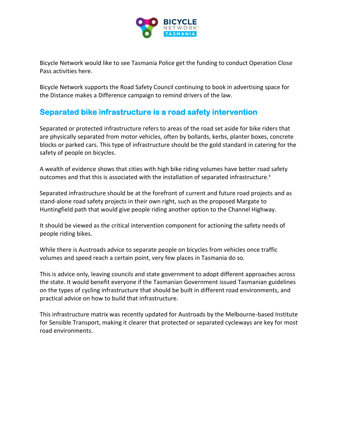

Bicycle Network would like to see Tasmania Police get the funding to conduct Operation Close Pass activities here.

Bicycle Network supports the Road Safety Council continuing to book in advertising space for the Distance makes a Difference campaign to remind drivers of the law.

### **Separated bike infrastructure is a road safety intervention**

Separated or protected infrastructure refers to areas of the road set aside for bike riders that are physically separated from motor vehicles, often by bollards, kerbs, planter boxes, concrete blocks or parked cars. This type of infrastructure should be the gold standard in catering for the safety of people on bicycles.

A wealth of evidence shows that cities with high bike riding volumes have better road safety outcomes and that this is associated with the installation of separated infrastructure.<sup>x</sup>

Separated infrastructure should be at the forefront of current and future road projects and as stand-alone road safety projects in their own right, such as the proposed Margate to Huntingfield path that would give people riding another option to the Channel Highway.

It should be viewed as the critical intervention component for actioning the safety needs of people riding bikes.

While there is Austroads advice to separate people on bicycles from vehicles once traffic volumes and speed reach a certain point, very few places in Tasmania do so.

This is advice only, leaving councils and state government to adopt different approaches across the state. It would benefit everyone if the Tasmanian Government issued Tasmanian guidelines on the types of cycling infrastructure that should be built in different road environments, and practical advice on how to build that infrastructure.

This infrastructure matrix was recently updated for Austroads by the Melbourne-based Institute for Sensible Transport, making it clearer that protected or separated cycleways are key for most road environments.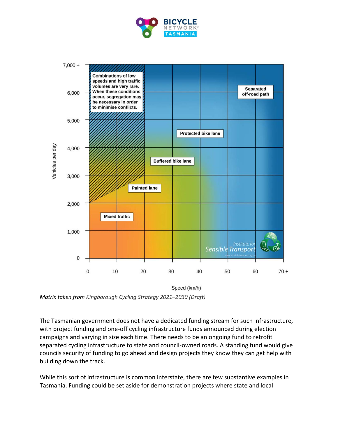



*Matrix taken from Kingborough Cycling Strategy 2021–2030 (Draft)*

The Tasmanian government does not have a dedicated funding stream for such infrastructure, with project funding and one-off cycling infrastructure funds announced during election campaigns and varying in size each time. There needs to be an ongoing fund to retrofit separated cycling infrastructure to state and council-owned roads. A standing fund would give councils security of funding to go ahead and design projects they know they can get help with building down the track.

While this sort of infrastructure is common interstate, there are few substantive examples in Tasmania. Funding could be set aside for demonstration projects where state and local